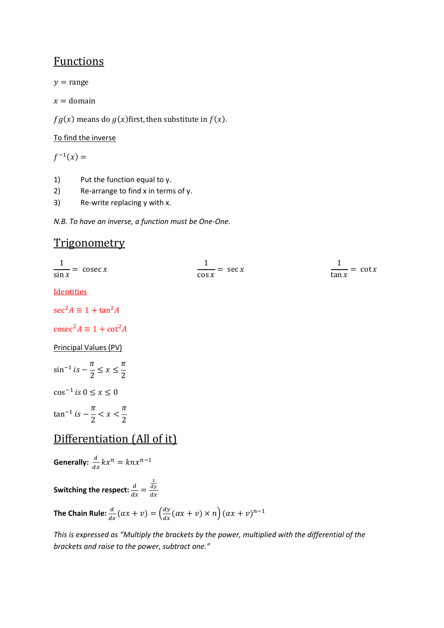## Functions

 $y = \text{range}$ 

 $x =$  domain

 $fg(x)$  means do  $g(x)$ first, then substitute in  $f(x)$ .

#### To find the inverse

 $f^{-1}(x) =$ 

- 1) Put the function equal to y.
- 2) Re-arrange to find x in terms of y.
- 3) Re-write replacing y with x.

*N.B. To have an inverse, a function must be One-One.* 

## **Trigonometry**

| $\frac{1}{1}$ = cosec x | $\equiv$ sec x | $\frac{\ }{\ }$ = cot x |
|-------------------------|----------------|-------------------------|
| $\sin x$                | $\cos x$       | tan $x$                 |

Identities

 $sec^2 A \equiv 1 + tan^2 A$ 

 $\csc^2 A \equiv 1 + \cot^2 A$ 

Principal Values (PV)

 $\sin^{-1} i s - \frac{\pi}{2}$  $\frac{1}{2} \leq x \leq$  $\pi$ &  $\cos^{-1}$  is  $0 \le x \le 0$ 

 $\tan^{-1}$  is  $-\frac{\pi}{2}$  $\frac{1}{2}$  < x <  $\pi$ &

# Differentiation (All of it)

**Generally:**  $\frac{d}{dx}kx^n = knx^{n-1}$ Switching the respect:  $\frac{d}{dx}$  = / dy  $dx$ 

The Chain Rule:  $\frac{d}{dx}(\alpha x + v) = \left(\frac{dy}{dx}(\alpha x + v) \times n\right) (\alpha x + v)^{n-1}$ 

*This is expressed as "Multiply the brackets by the power, multiplied with the differential of the brackets and raise to the power, subtract one."*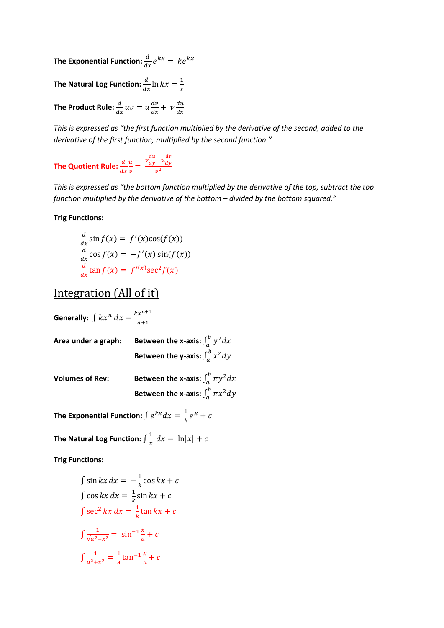The Exponential Function:  $\frac{d}{dx}e^{kx} = ke^{kx}$ 

**The Natural Log Function:**  $\frac{d}{dx}$   $\ln kx = \frac{1}{x}$  $\chi$ 

The Product Rule:  $\frac{d}{dx}uv = u\frac{dv}{dx}$  $rac{dv}{dx} + v \frac{du}{dx}$ 

*This is expressed as "the first function multiplied by the derivative of the second, added to the derivative of the first function, multiplied by the second function."* 

The Quotient Rule:  $\frac{d}{dx}$  $\mathfrak u$  $\frac{u}{v} = \frac{v\frac{du}{dy} - u\frac{dv}{dy}}{v^2}$ dy  $v^2$ 

*This is expressed as "the bottom function multiplied by the derivative of the top, subtract the top function multiplied by the derivative of the bottom – divided by the bottom squared."* 

#### **Trig Functions:**

$$
\frac{d}{dx}\sin f(x) = f'(x)\cos(f(x))
$$
  

$$
\frac{d}{dx}\cos f(x) = -f'(x)\sin(f(x))
$$
  

$$
\frac{d}{dx}\tan f(x) = f'(x)\sec^2 f(x)
$$

### Integration (All of it)

| Generally: $\int kx^n dx = \frac{kx^{n+1}}{n+1}$ |                                                                                                |
|--------------------------------------------------|------------------------------------------------------------------------------------------------|
| Area under a graph:                              | Between the x-axis: $\int_{a}^{b} y^2 dx$<br>Between the y-axis: $\int_{a}^{b} x^2 dy$         |
| <b>Volumes of Rev:</b>                           | Between the x-axis: $\int_{a}^{b} \pi y^2 dx$<br>Between the x-axis: $\int_{a}^{b} \pi x^2 dy$ |

The Exponential Function:  $\int e^{kx} dx = \frac{1}{k} e^{x} + c$ 

The Natural Log Function:  $\int \frac{1}{x}$  $\frac{1}{x} dx = \ln|x| + c$ 

**Trig Functions:** 

$$
\int \sin kx \, dx = -\frac{1}{k} \cos kx + c
$$
  

$$
\int \cos kx \, dx = \frac{1}{k} \sin kx + c
$$
  

$$
\int \sec^2 kx \, dx = \frac{1}{k} \tan kx + c
$$
  

$$
\int \frac{1}{\sqrt{a^2 - x^2}} = \sin^{-1} \frac{x}{a} + c
$$
  

$$
\int \frac{1}{a^2 + x^2} = \frac{1}{a} \tan^{-1} \frac{x}{a} + c
$$